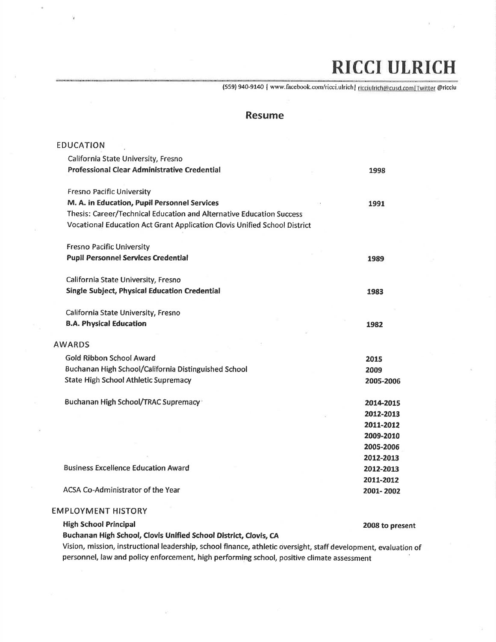## RICCI ULRICH

{559} 940-914O lwww.facebookcorny'ricci.ulrichl ricciulrich@cusd.comlTwitter@ricciu

## Resume

| <b>EDUCATION</b>                                                          |                 |
|---------------------------------------------------------------------------|-----------------|
| California State University, Fresno                                       |                 |
| <b>Professional Clear Administrative Credential</b>                       | 1998            |
| <b>Fresno Pacific University</b>                                          |                 |
| M. A. in Education, Pupil Personnel Services                              | 1991            |
| Thesis: Career/Technical Education and Alternative Education Success      |                 |
| Vocational Education Act Grant Application Clovis Unified School District |                 |
| <b>Fresno Pacific University</b>                                          |                 |
| <b>Pupil Personnel Services Credential</b>                                | 1989            |
| California State University, Fresno                                       |                 |
| <b>Single Subject, Physical Education Credential</b>                      | 1983            |
| California State University, Fresno                                       |                 |
| <b>B.A. Physical Education</b>                                            | 1982            |
| <b>AWARDS</b>                                                             |                 |
| <b>Gold Ribbon School Award</b>                                           | 2015            |
| Buchanan High School/California Distinguished School                      | 2009            |
| <b>State High School Athletic Supremacy</b>                               | 2005-2006       |
| Buchanan High School/TRAC Supremacy <sup>+</sup>                          | 2014-2015       |
|                                                                           | 2012-2013       |
|                                                                           | 2011-2012       |
|                                                                           | 2009-2010       |
|                                                                           | 2005-2006       |
|                                                                           | 2012-2013       |
| <b>Business Excellence Education Award</b>                                | 2012-2013       |
|                                                                           | 2011-2012       |
| <b>ACSA Co-Administrator of the Year</b>                                  | 2001-2002       |
| <b>EMPLOYMENT HISTORY</b>                                                 |                 |
| <b>High School Principal</b>                                              | 2008 to present |
|                                                                           |                 |

Buchanan High School, Clovis Unified School District, Clovis, CA

Vision, mission, instructional leadership, school finance, athletic oversight, staff development, evaluation of personnel, law and policy enforcement, high performing school, positive climate assessment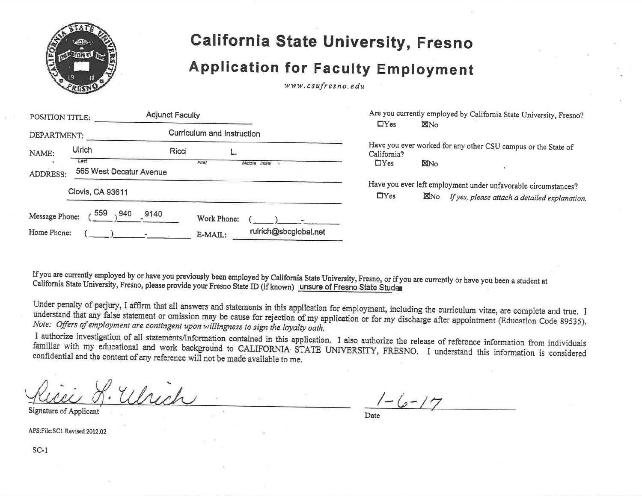

## California State University, Fresno

## Application for Faculty Employment

www.csufresno.edu

| POSITION TITLE: |                                 | <b>Adjunct Faculty</b> |                                    | $\Box$ Yes  | Are you currently employed by California State University, Fresno?<br><b>X</b> No                                              |
|-----------------|---------------------------------|------------------------|------------------------------------|-------------|--------------------------------------------------------------------------------------------------------------------------------|
| DEPARTMENT:     |                                 |                        | Curriculum and Instruction         |             |                                                                                                                                |
| NAME:           | <b>Ulrich</b>                   | Ricci                  | . _ا                               | California? | Have you ever worked for any other CSU campus or the State of                                                                  |
| <b>ADDRESS:</b> | Last<br>565 West Decatur Avenue | First                  | Middle Initial                     | $\Box$ Yes  | <b>ENO</b>                                                                                                                     |
|                 | <b>Clovis, CA 93611</b>         |                        |                                    | $\Box$ Yes  | Have you ever left employment under unfavorable circumstances?<br><b>X</b> No<br>If yes, please attach a detailed explanation. |
| Message Phone:  | 559<br>940                      | 9140                   | Work Phone:                        |             |                                                                                                                                |
| Home Phone:     |                                 |                        | rulrich@sbcglobal.net<br>$E-MAIL:$ |             |                                                                                                                                |

If you are currently employed by or have you previously been employed by California State University, Fresno, or if you are currently or have you been a student at<br>California State University, Fresno, please provide your F If you are currently employed by or have you previously been employed by California State University, Fresno, or if you are currently or have you been a student a<br>California State University, Fresno, please provide your Fr

Under penalty of perjury, I affirm that all answers and statements in this application for employment, including the curriculum vitae, are complete and true. I understand that any false statement or omission may be cause for rejection of my application or for my discharge after appointment (Education Code 89535). Note:

I authorize investigation of all statements/information contained in this application. I also authorize the release of reference information from individuals familiar with my educational and work background to CALIFORNIA STATE UNIVERSITY, FRESNO. I understand this information is considered confidential and the content of any reference will not be made available to me.

Which

Signature of Applicant

 $-(2-17)$ 

Date

APS:File:SCl Revised 2012.02

sc-l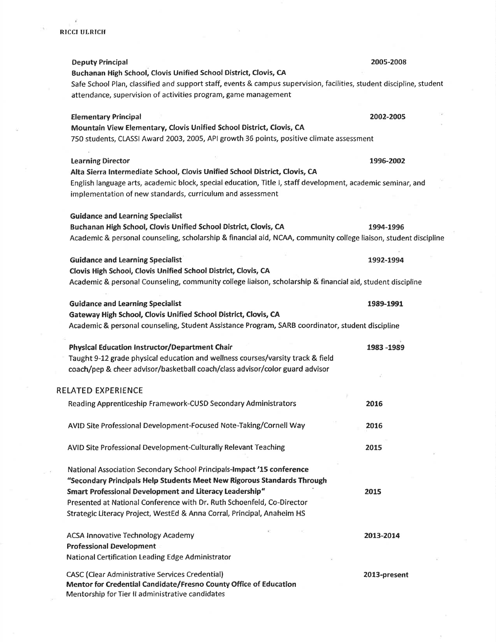| <b>Deputy Principal</b>                                                                                              | 2005-2008    |
|----------------------------------------------------------------------------------------------------------------------|--------------|
| Buchanan High School, Clovis Unified School District, Clovis, CA                                                     |              |
| Safe School Plan, classified and support staff, events & campus supervision, facilities, student discipline, student |              |
| attendance, supervision of activities program, game management                                                       |              |
| <b>Elementary Principal</b>                                                                                          | 2002-2005    |
| Mountain View Elementary, Clovis Unified School District, Clovis, CA                                                 |              |
| 750 students, CLASSI Award 2003, 2005, API growth 36 points, positive climate assessment                             |              |
| <b>Learning Director</b>                                                                                             | 1996-2002    |
| Alta Sierra Intermediate School, Clovis Unified School District, Clovis, CA                                          |              |
| English language arts, academic block, special education, Title I, staff development, academic seminar, and          |              |
| implementation of new standards, curriculum and assessment                                                           |              |
| <b>Guidance and Learning Specialist</b>                                                                              |              |
| Buchanan High School, Clovis Unified School District, Clovis, CA                                                     | 1994-1996    |
| Academic & personal counseling, scholarship & financial aid, NCAA, community college liaison, student discipline     |              |
|                                                                                                                      |              |
| <b>Guidance and Learning Specialist</b>                                                                              | 1992-1994    |
| Clovis High School, Clovis Unified School District, Clovis, CA                                                       |              |
| Academic & personal Counseling, community college liaison, scholarship & financial aid, student discipline           |              |
| <b>Guidance and Learning Specialist</b>                                                                              | 1989-1991    |
| Gateway High School, Clovis Unified School District, Clovis, CA                                                      |              |
| Academic & personal counseling, Student Assistance Program, SARB coordinator, student discipline                     |              |
| <b>Physical Education Instructor/Department Chair</b>                                                                | 1983 - 1989  |
| Taught 9-12 grade physical education and wellness courses/varsity track & field                                      |              |
| coach/pep & cheer advisor/basketball coach/class advisor/color guard advisor                                         |              |
| RELATED EXPERIENCE                                                                                                   |              |
| Reading Apprenticeship Framework-CUSD Secondary Administrators                                                       | 2016         |
|                                                                                                                      |              |
| AVID Site Professional Development-Focused Note-Taking/Cornell Way                                                   | 2016         |
| AVID Site Professional Development-Culturally Relevant Teaching                                                      | 2015         |
|                                                                                                                      |              |
| National Association Secondary School Principals-Impact '15 conference                                               |              |
| "Secondary Principals Help Students Meet New Rigorous Standards Through                                              |              |
| Smart Professional Development and Literacy Leadership"                                                              | 2015         |
| Presented at National Conference with Dr. Ruth Schoenfeld, Co-Director                                               |              |
| Strategic Literacy Project, WestEd & Anna Corral, Principal, Anaheim HS                                              |              |
| <b>ACSA Innovative Technology Academy</b>                                                                            | 2013-2014    |
| <b>Professional Development</b>                                                                                      |              |
| National Certification Leading Edge Administrator                                                                    |              |
| <b>CASC (Clear Administrative Services Credential)</b>                                                               | 2013-present |
| Mentor for Credential Candidate/Fresno County Office of Education                                                    |              |
| Mentorship for Tier II administrative candidates                                                                     |              |

 $\sim$   $\kappa$